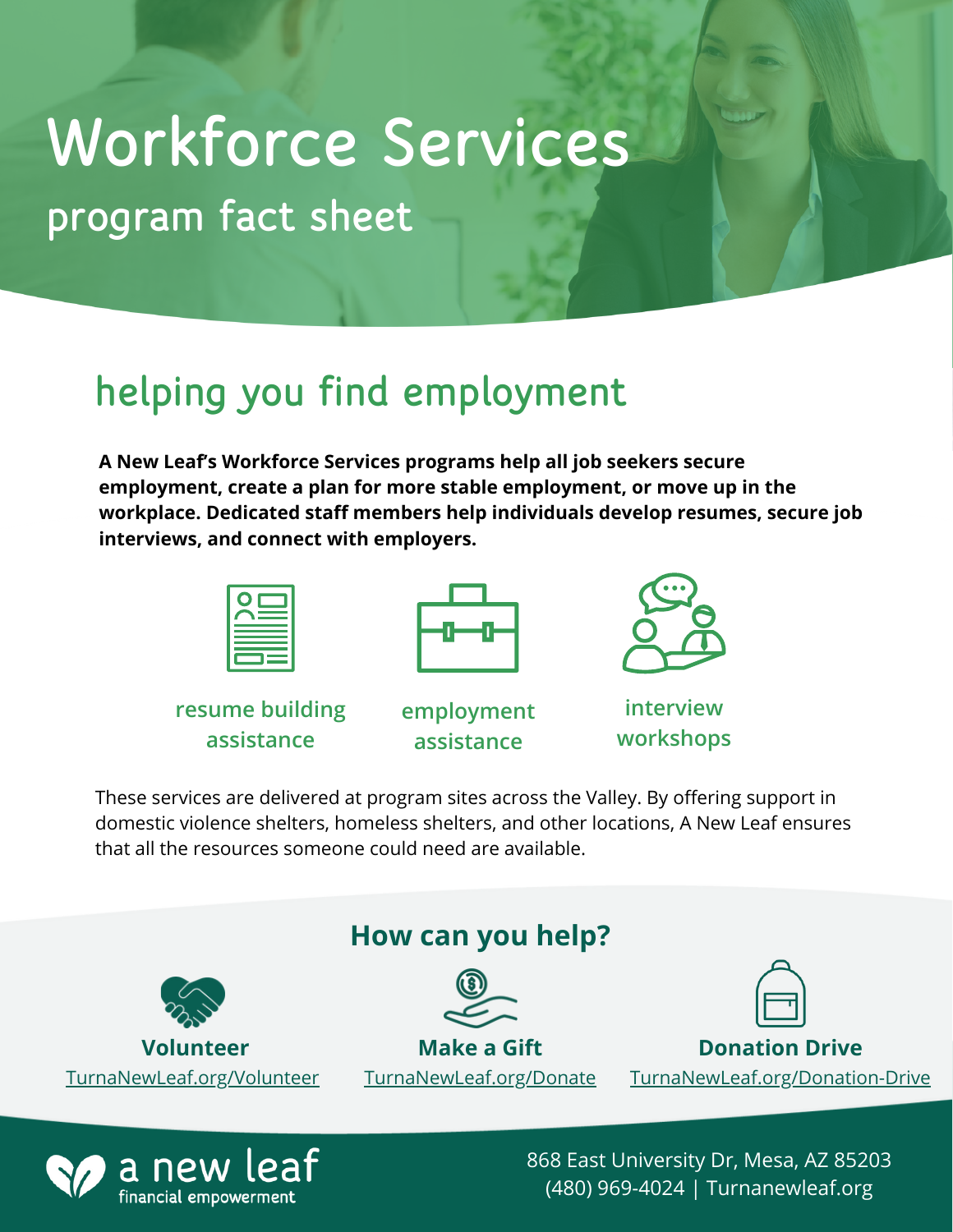# program fact sheet Workforce Services

## helping you find employment

**A New Leaf's Workforce Services programs help all job seekers secure employment, create a plan for more stable employment, or move up in the workplace. Dedicated staff members help individuals develop resumes, secure job interviews, and connect with employers.**

**resume building assistance**

financial empowerment







**interview workshops**

These services are delivered at program sites across the Valley. By offering support in domestic violence shelters, homeless shelters, and other locations, A New Leaf ensures that all the resources someone could need are available.



868 East University Dr, Mesa, AZ 85203 (480) 969-4024 | Turnanewleaf.org